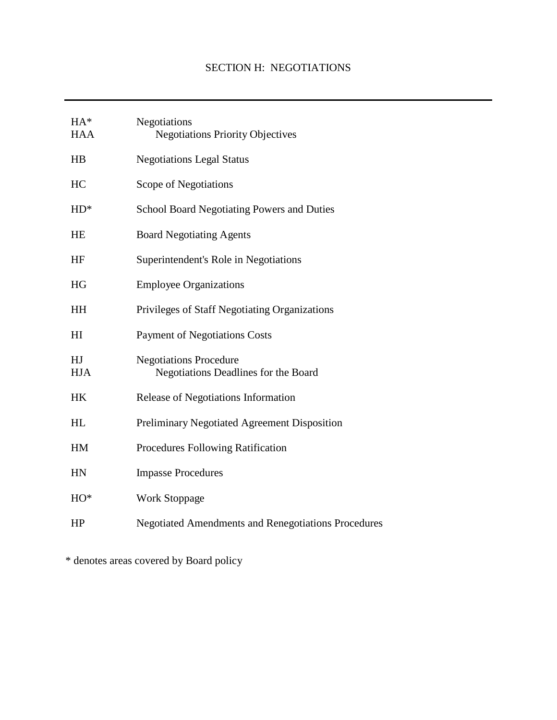| $HA^*$<br><b>HAA</b> | Negotiations<br><b>Negotiations Priority Objectives</b>               |
|----------------------|-----------------------------------------------------------------------|
| HB                   | <b>Negotiations Legal Status</b>                                      |
| HC                   | Scope of Negotiations                                                 |
| $HD^*$               | <b>School Board Negotiating Powers and Duties</b>                     |
| HE                   | <b>Board Negotiating Agents</b>                                       |
| HF                   | Superintendent's Role in Negotiations                                 |
| HG                   | <b>Employee Organizations</b>                                         |
| HH                   | Privileges of Staff Negotiating Organizations                         |
| H <sub>I</sub>       | <b>Payment of Negotiations Costs</b>                                  |
| HJ<br><b>HJA</b>     | <b>Negotiations Procedure</b><br>Negotiations Deadlines for the Board |
| HK                   | Release of Negotiations Information                                   |
| HL                   | Preliminary Negotiated Agreement Disposition                          |
| HM                   | <b>Procedures Following Ratification</b>                              |
| HN                   | <b>Impasse Procedures</b>                                             |
| $HO^*$               | <b>Work Stoppage</b>                                                  |
| HP                   | <b>Negotiated Amendments and Renegotiations Procedures</b>            |

\* denotes areas covered by Board policy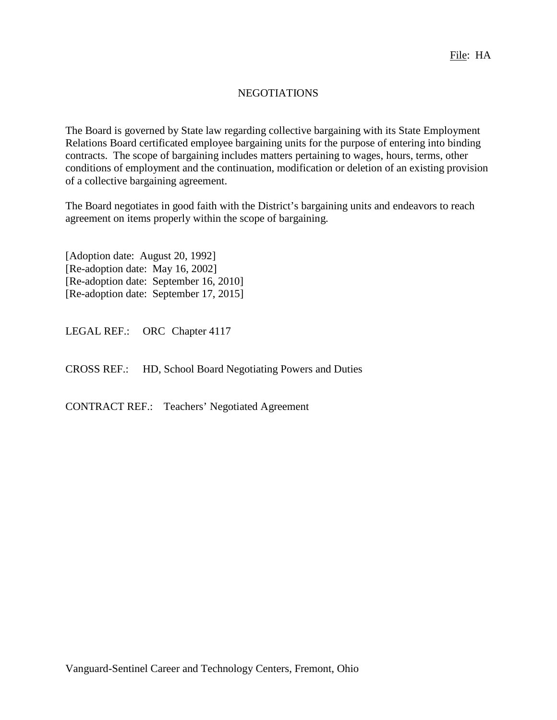## NEGOTIATIONS

The Board is governed by State law regarding collective bargaining with its State Employment Relations Board certificated employee bargaining units for the purpose of entering into binding contracts. The scope of bargaining includes matters pertaining to wages, hours, terms, other conditions of employment and the continuation, modification or deletion of an existing provision of a collective bargaining agreement.

The Board negotiates in good faith with the District's bargaining unit*s* and endeavors to reach agreement on items properly within the scope of bargaining.

[Adoption date: August 20, 1992] [Re-adoption date: May 16, 2002] [Re-adoption date: September 16, 2010] [Re-adoption date: September 17, 2015]

LEGAL REF.: ORC Chapter 4117

CROSS REF.: HD, School Board Negotiating Powers and Duties

CONTRACT REF.: Teachers' Negotiated Agreement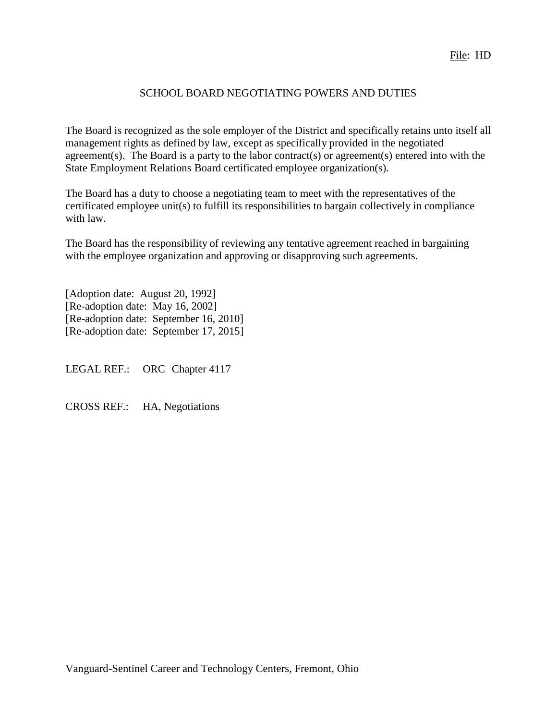## SCHOOL BOARD NEGOTIATING POWERS AND DUTIES

The Board is recognized as the sole employer of the District and specifically retains unto itself all management rights as defined by law, except as specifically provided in the negotiated agreement(s). The Board is a party to the labor contract(s) or agreement(s) entered into with the State Employment Relations Board certificated employee organization(s).

The Board has a duty to choose a negotiating team to meet with the representatives of the certificated employee unit(s) to fulfill its responsibilities to bargain collectively in compliance with law.

The Board has the responsibility of reviewing any tentative agreement reached in bargaining with the employee organization and approving or disapproving such agreements.

[Adoption date: August 20, 1992] [Re-adoption date: May 16, 2002] [Re-adoption date: September 16, 2010] [Re-adoption date: September 17, 2015]

LEGAL REF.: ORC Chapter 4117

CROSS REF.: HA, Negotiations